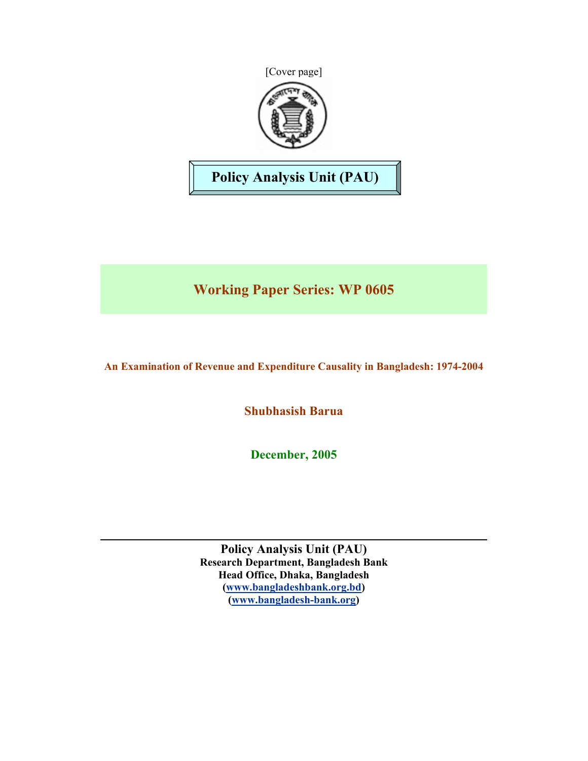



# **Policy Analysis Unit (PAU)**

# **Working Paper Series: WP 0605**

## **An Examination of Revenue and Expenditure Causality in Bangladesh: 1974-2004**

**Shubhasish Barua** 

**December, 2005**

**Policy Analysis Unit (PAU) Research Department, Bangladesh Bank Head Office, Dhaka, Bangladesh (www.bangladeshbank.org.bd) (www.bangladesh-bank.org)**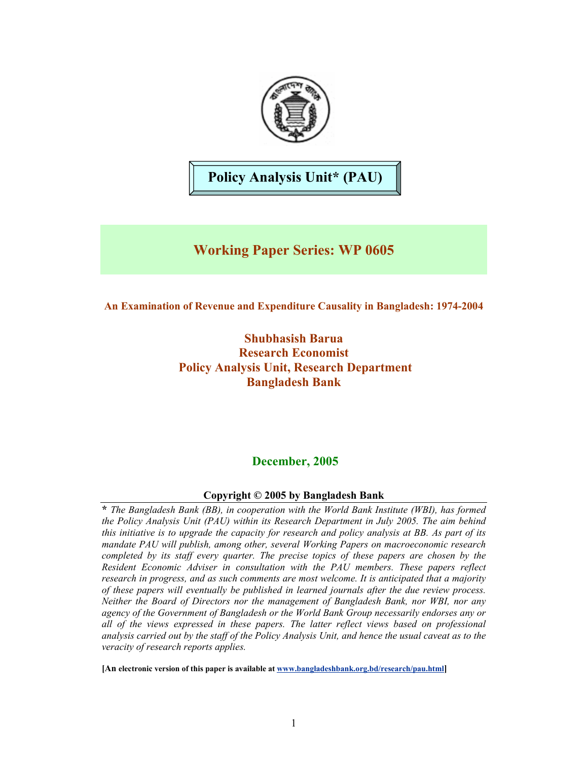

**Policy Analysis Unit\* (PAU)** 

## **Working Paper Series: WP 0605**

## **An Examination of Revenue and Expenditure Causality in Bangladesh: 1974-2004**

**Shubhasish Barua Research Economist Policy Analysis Unit, Research Department Bangladesh Bank** 

## **December, 2005**

## **Copyright © 2005 by Bangladesh Bank**

**\*** *The Bangladesh Bank (BB), in cooperation with the World Bank Institute (WBI), has formed the Policy Analysis Unit (PAU) within its Research Department in July 2005. The aim behind this initiative is to upgrade the capacity for research and policy analysis at BB. As part of its mandate PAU will publish, among other, several Working Papers on macroeconomic research completed by its staff every quarter. The precise topics of these papers are chosen by the Resident Economic Adviser in consultation with the PAU members. These papers reflect research in progress, and as such comments are most welcome. It is anticipated that a majority of these papers will eventually be published in learned journals after the due review process. Neither the Board of Directors nor the management of Bangladesh Bank, nor WBI, nor any agency of the Government of Bangladesh or the World Bank Group necessarily endorses any or all of the views expressed in these papers. The latter reflect views based on professional analysis carried out by the staff of the Policy Analysis Unit, and hence the usual caveat as to the veracity of research reports applies.*

**[An electronic version of this paper is available at www.bangladeshbank.org.bd/research/pau.html]**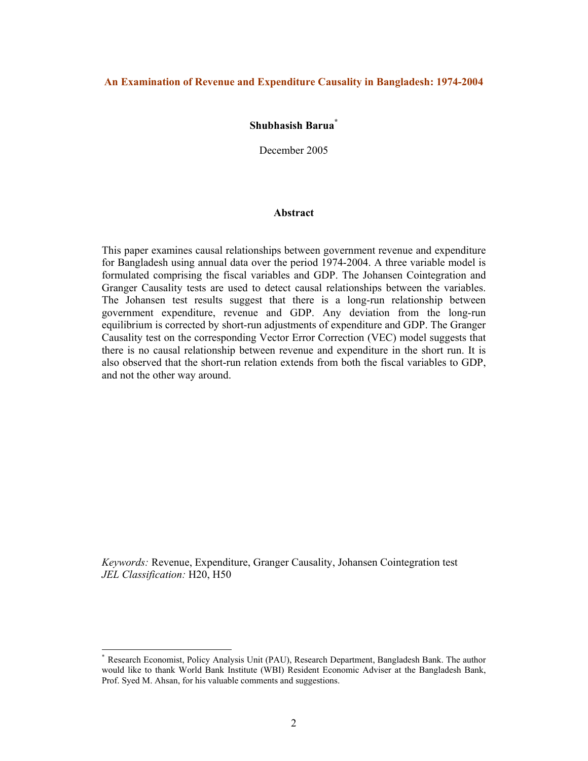### **An Examination of Revenue and Expenditure Causality in Bangladesh: 1974-2004**

### **Shubhasish Barua\***

December 2005

#### **Abstract**

This paper examines causal relationships between government revenue and expenditure for Bangladesh using annual data over the period 1974-2004. A three variable model is formulated comprising the fiscal variables and GDP. The Johansen Cointegration and Granger Causality tests are used to detect causal relationships between the variables. The Johansen test results suggest that there is a long-run relationship between government expenditure, revenue and GDP. Any deviation from the long-run equilibrium is corrected by short-run adjustments of expenditure and GDP. The Granger Causality test on the corresponding Vector Error Correction (VEC) model suggests that there is no causal relationship between revenue and expenditure in the short run. It is also observed that the short-run relation extends from both the fiscal variables to GDP, and not the other way around.

*Keywords:* Revenue, Expenditure, Granger Causality, Johansen Cointegration test *JEL Classification:* H20, H50

 $\overline{a}$ 

<sup>\*</sup> Research Economist, Policy Analysis Unit (PAU), Research Department, Bangladesh Bank. The author would like to thank World Bank Institute (WBI) Resident Economic Adviser at the Bangladesh Bank, Prof. Syed M. Ahsan, for his valuable comments and suggestions.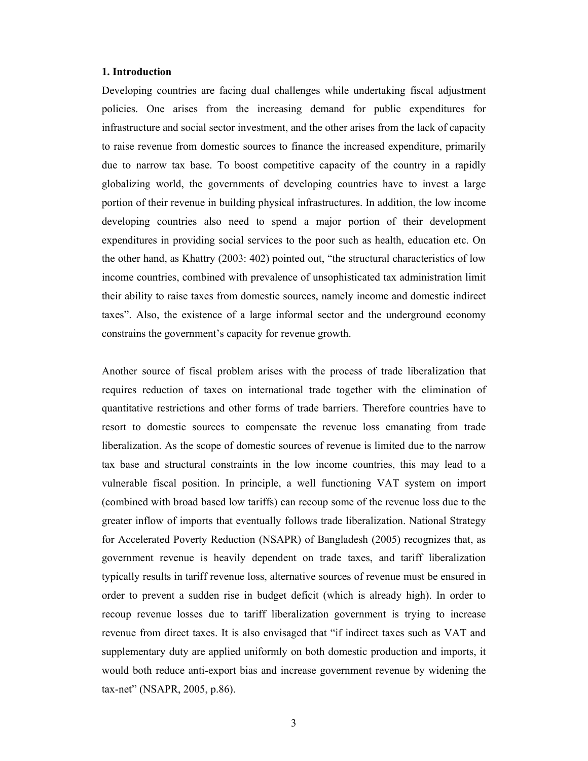#### **1. Introduction**

Developing countries are facing dual challenges while undertaking fiscal adjustment policies. One arises from the increasing demand for public expenditures for infrastructure and social sector investment, and the other arises from the lack of capacity to raise revenue from domestic sources to finance the increased expenditure, primarily due to narrow tax base. To boost competitive capacity of the country in a rapidly globalizing world, the governments of developing countries have to invest a large portion of their revenue in building physical infrastructures. In addition, the low income developing countries also need to spend a major portion of their development expenditures in providing social services to the poor such as health, education etc. On the other hand, as Khattry (2003: 402) pointed out, "the structural characteristics of low income countries, combined with prevalence of unsophisticated tax administration limit their ability to raise taxes from domestic sources, namely income and domestic indirect taxes". Also, the existence of a large informal sector and the underground economy constrains the government's capacity for revenue growth.

Another source of fiscal problem arises with the process of trade liberalization that requires reduction of taxes on international trade together with the elimination of quantitative restrictions and other forms of trade barriers. Therefore countries have to resort to domestic sources to compensate the revenue loss emanating from trade liberalization. As the scope of domestic sources of revenue is limited due to the narrow tax base and structural constraints in the low income countries, this may lead to a vulnerable fiscal position. In principle, a well functioning VAT system on import (combined with broad based low tariffs) can recoup some of the revenue loss due to the greater inflow of imports that eventually follows trade liberalization. National Strategy for Accelerated Poverty Reduction (NSAPR) of Bangladesh (2005) recognizes that, as government revenue is heavily dependent on trade taxes, and tariff liberalization typically results in tariff revenue loss, alternative sources of revenue must be ensured in order to prevent a sudden rise in budget deficit (which is already high). In order to recoup revenue losses due to tariff liberalization government is trying to increase revenue from direct taxes. It is also envisaged that "if indirect taxes such as VAT and supplementary duty are applied uniformly on both domestic production and imports, it would both reduce anti-export bias and increase government revenue by widening the tax-net" (NSAPR, 2005, p.86).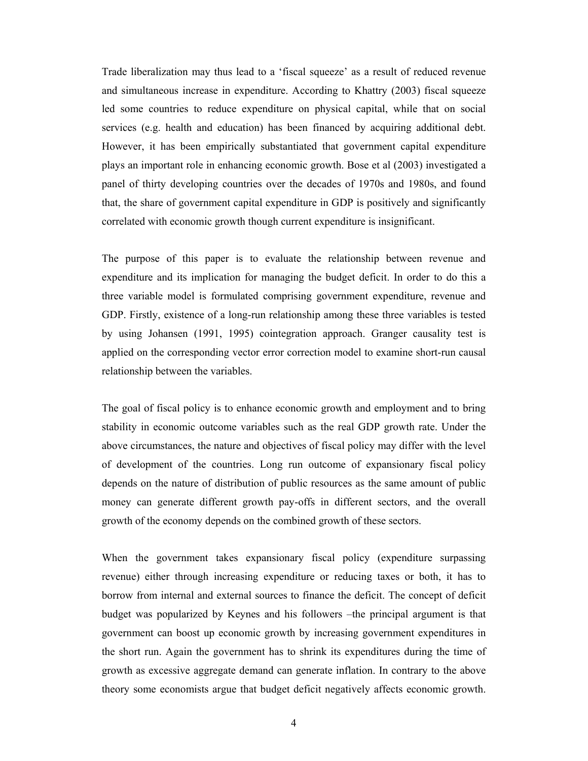Trade liberalization may thus lead to a 'fiscal squeeze' as a result of reduced revenue and simultaneous increase in expenditure. According to Khattry (2003) fiscal squeeze led some countries to reduce expenditure on physical capital, while that on social services (e.g. health and education) has been financed by acquiring additional debt. However, it has been empirically substantiated that government capital expenditure plays an important role in enhancing economic growth. Bose et al (2003) investigated a panel of thirty developing countries over the decades of 1970s and 1980s, and found that, the share of government capital expenditure in GDP is positively and significantly correlated with economic growth though current expenditure is insignificant.

The purpose of this paper is to evaluate the relationship between revenue and expenditure and its implication for managing the budget deficit. In order to do this a three variable model is formulated comprising government expenditure, revenue and GDP. Firstly, existence of a long-run relationship among these three variables is tested by using Johansen (1991, 1995) cointegration approach. Granger causality test is applied on the corresponding vector error correction model to examine short-run causal relationship between the variables.

The goal of fiscal policy is to enhance economic growth and employment and to bring stability in economic outcome variables such as the real GDP growth rate. Under the above circumstances, the nature and objectives of fiscal policy may differ with the level of development of the countries. Long run outcome of expansionary fiscal policy depends on the nature of distribution of public resources as the same amount of public money can generate different growth pay-offs in different sectors, and the overall growth of the economy depends on the combined growth of these sectors.

When the government takes expansionary fiscal policy (expenditure surpassing revenue) either through increasing expenditure or reducing taxes or both, it has to borrow from internal and external sources to finance the deficit. The concept of deficit budget was popularized by Keynes and his followers –the principal argument is that government can boost up economic growth by increasing government expenditures in the short run. Again the government has to shrink its expenditures during the time of growth as excessive aggregate demand can generate inflation. In contrary to the above theory some economists argue that budget deficit negatively affects economic growth.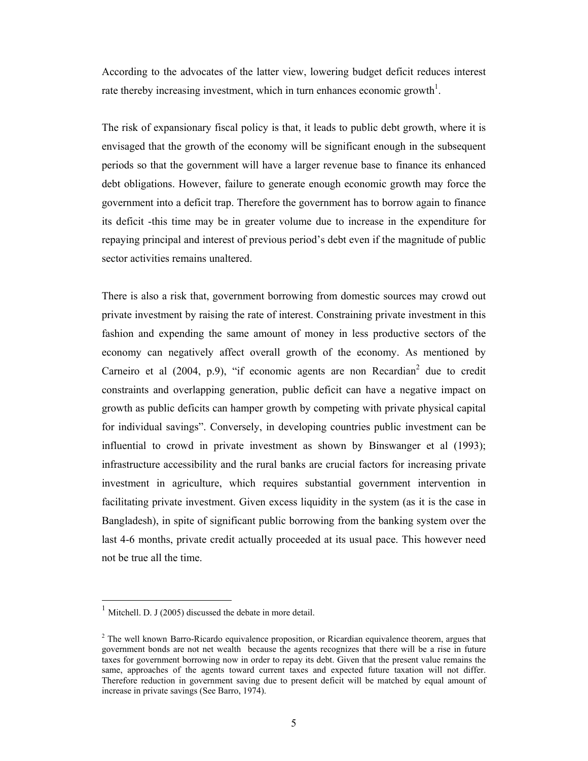According to the advocates of the latter view, lowering budget deficit reduces interest rate thereby increasing investment, which in turn enhances economic growth<sup>1</sup>.

The risk of expansionary fiscal policy is that, it leads to public debt growth, where it is envisaged that the growth of the economy will be significant enough in the subsequent periods so that the government will have a larger revenue base to finance its enhanced debt obligations. However, failure to generate enough economic growth may force the government into a deficit trap. Therefore the government has to borrow again to finance its deficit -this time may be in greater volume due to increase in the expenditure for repaying principal and interest of previous period's debt even if the magnitude of public sector activities remains unaltered.

There is also a risk that, government borrowing from domestic sources may crowd out private investment by raising the rate of interest. Constraining private investment in this fashion and expending the same amount of money in less productive sectors of the economy can negatively affect overall growth of the economy. As mentioned by Carneiro et al  $(2004, p.9)$ , "if economic agents are non Recardian<sup>2</sup> due to credit constraints and overlapping generation, public deficit can have a negative impact on growth as public deficits can hamper growth by competing with private physical capital for individual savings". Conversely, in developing countries public investment can be influential to crowd in private investment as shown by Binswanger et al (1993); infrastructure accessibility and the rural banks are crucial factors for increasing private investment in agriculture, which requires substantial government intervention in facilitating private investment. Given excess liquidity in the system (as it is the case in Bangladesh), in spite of significant public borrowing from the banking system over the last 4-6 months, private credit actually proceeded at its usual pace. This however need not be true all the time.

 $\overline{a}$ 

 $1$  Mitchell. D. J (2005) discussed the debate in more detail.

 $2^2$  The well known Barro-Ricardo equivalence proposition, or Ricardian equivalence theorem, argues that government bonds are not net wealth because the agents recognizes that there will be a rise in future taxes for government borrowing now in order to repay its debt. Given that the present value remains the same, approaches of the agents toward current taxes and expected future taxation will not differ. Therefore reduction in government saving due to present deficit will be matched by equal amount of increase in private savings (See Barro, 1974).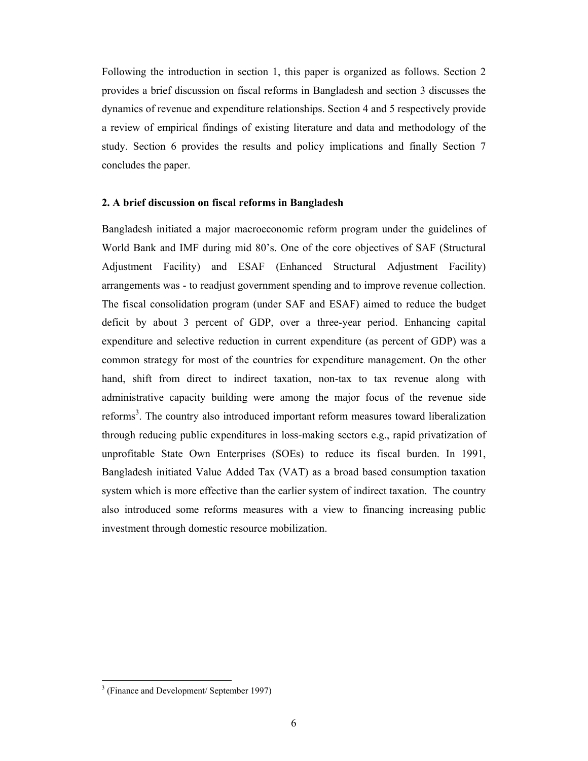Following the introduction in section 1, this paper is organized as follows. Section 2 provides a brief discussion on fiscal reforms in Bangladesh and section 3 discusses the dynamics of revenue and expenditure relationships. Section 4 and 5 respectively provide a review of empirical findings of existing literature and data and methodology of the study. Section 6 provides the results and policy implications and finally Section 7 concludes the paper.

#### **2. A brief discussion on fiscal reforms in Bangladesh**

Bangladesh initiated a major macroeconomic reform program under the guidelines of World Bank and IMF during mid 80's. One of the core objectives of SAF (Structural Adjustment Facility) and ESAF (Enhanced Structural Adjustment Facility) arrangements was - to readjust government spending and to improve revenue collection. The fiscal consolidation program (under SAF and ESAF) aimed to reduce the budget deficit by about 3 percent of GDP, over a three-year period. Enhancing capital expenditure and selective reduction in current expenditure (as percent of GDP) was a common strategy for most of the countries for expenditure management. On the other hand, shift from direct to indirect taxation, non-tax to tax revenue along with administrative capacity building were among the major focus of the revenue side reforms<sup>3</sup>. The country also introduced important reform measures toward liberalization through reducing public expenditures in loss-making sectors e.g., rapid privatization of unprofitable State Own Enterprises (SOEs) to reduce its fiscal burden. In 1991, Bangladesh initiated Value Added Tax (VAT) as a broad based consumption taxation system which is more effective than the earlier system of indirect taxation. The country also introduced some reforms measures with a view to financing increasing public investment through domestic resource mobilization.

 $\overline{a}$ 

<sup>&</sup>lt;sup>3</sup> (Finance and Development/ September 1997)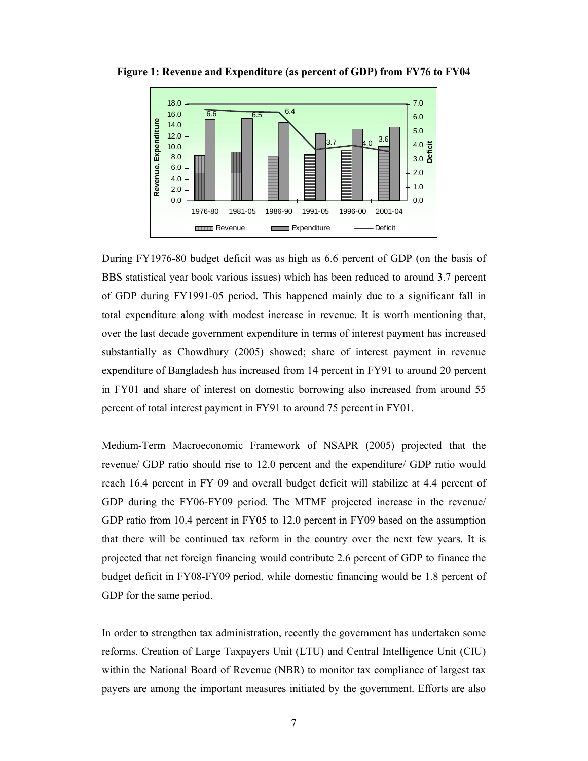

**Figure 1: Revenue and Expenditure (as percent of GDP) from FY76 to FY04** 

During FY1976-80 budget deficit was as high as 6.6 percent of GDP (on the basis of BBS statistical year book various issues) which has been reduced to around 3.7 percent of GDP during FY1991-05 period. This happened mainly due to a significant fall in total expenditure along with modest increase in revenue. It is worth mentioning that, over the last decade government expenditure in terms of interest payment has increased substantially as Chowdhury (2005) showed; share of interest payment in revenue expenditure of Bangladesh has increased from 14 percent in FY91 to around 20 percent in FY01 and share of interest on domestic borrowing also increased from around 55 percent of total interest payment in FY91 to around 75 percent in FY01.

Medium-Term Macroeconomic Framework of NSAPR (2005) projected that the revenue/ GDP ratio should rise to 12.0 percent and the expenditure/ GDP ratio would reach 16.4 percent in FY 09 and overall budget deficit will stabilize at 4.4 percent of GDP during the FY06-FY09 period. The MTMF projected increase in the revenue/ GDP ratio from 10.4 percent in FY05 to 12.0 percent in FY09 based on the assumption that there will be continued tax reform in the country over the next few years. It is projected that net foreign financing would contribute 2.6 percent of GDP to finance the budget deficit in FY08-FY09 period, while domestic financing would be 1.8 percent of GDP for the same period.

In order to strengthen tax administration, recently the government has undertaken some reforms. Creation of Large Taxpayers Unit (LTU) and Central Intelligence Unit (CIU) within the National Board of Revenue (NBR) to monitor tax compliance of largest tax payers are among the important measures initiated by the government. Efforts are also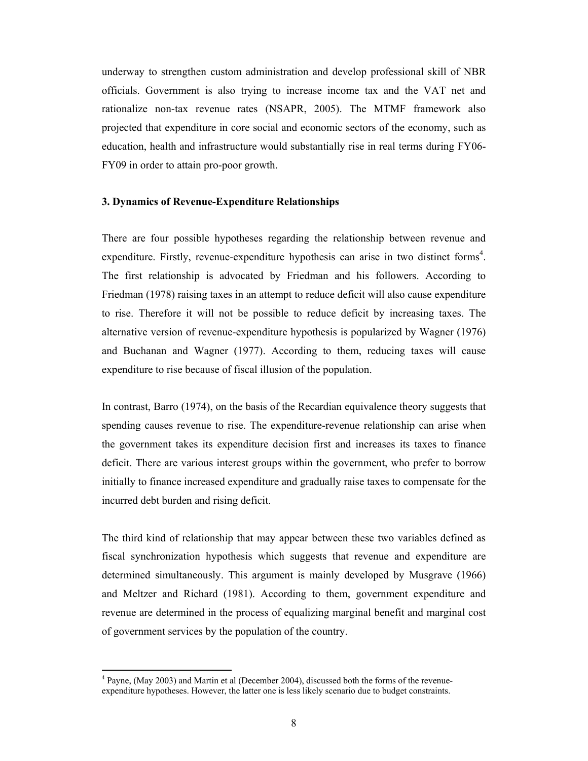underway to strengthen custom administration and develop professional skill of NBR officials. Government is also trying to increase income tax and the VAT net and rationalize non-tax revenue rates (NSAPR, 2005). The MTMF framework also projected that expenditure in core social and economic sectors of the economy, such as education, health and infrastructure would substantially rise in real terms during FY06- FY09 in order to attain pro-poor growth.

#### **3. Dynamics of Revenue-Expenditure Relationships**

There are four possible hypotheses regarding the relationship between revenue and expenditure. Firstly, revenue-expenditure hypothesis can arise in two distinct forms<sup>4</sup>. The first relationship is advocated by Friedman and his followers. According to Friedman (1978) raising taxes in an attempt to reduce deficit will also cause expenditure to rise. Therefore it will not be possible to reduce deficit by increasing taxes. The alternative version of revenue-expenditure hypothesis is popularized by Wagner (1976) and Buchanan and Wagner (1977). According to them, reducing taxes will cause expenditure to rise because of fiscal illusion of the population.

In contrast, Barro (1974), on the basis of the Recardian equivalence theory suggests that spending causes revenue to rise. The expenditure-revenue relationship can arise when the government takes its expenditure decision first and increases its taxes to finance deficit. There are various interest groups within the government, who prefer to borrow initially to finance increased expenditure and gradually raise taxes to compensate for the incurred debt burden and rising deficit.

The third kind of relationship that may appear between these two variables defined as fiscal synchronization hypothesis which suggests that revenue and expenditure are determined simultaneously. This argument is mainly developed by Musgrave (1966) and Meltzer and Richard (1981). According to them, government expenditure and revenue are determined in the process of equalizing marginal benefit and marginal cost of government services by the population of the country.

 $\overline{a}$ 

<sup>&</sup>lt;sup>4</sup> Payne, (May 2003) and Martin et al (December 2004), discussed both the forms of the revenueexpenditure hypotheses. However, the latter one is less likely scenario due to budget constraints.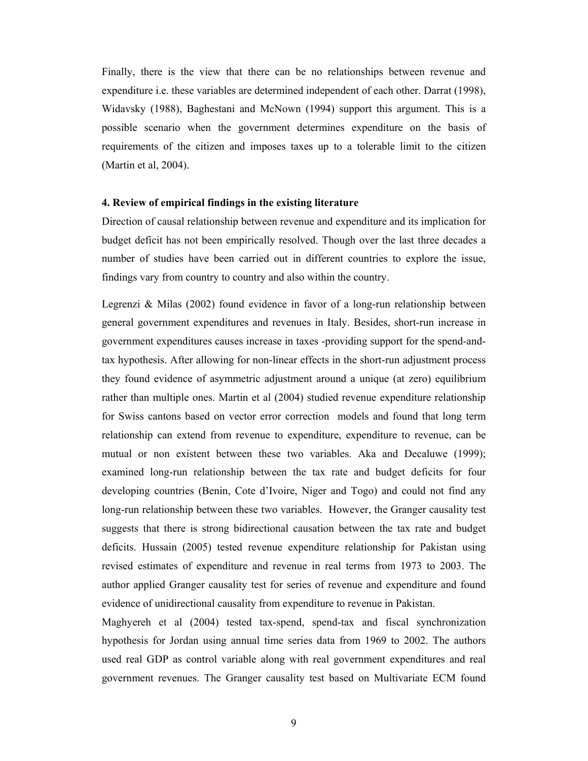Finally, there is the view that there can be no relationships between revenue and expenditure i.e. these variables are determined independent of each other. Darrat (1998), Widavsky (1988), Baghestani and McNown (1994) support this argument. This is a possible scenario when the government determines expenditure on the basis of requirements of the citizen and imposes taxes up to a tolerable limit to the citizen (Martin et al, 2004).

#### **4. Review of empirical findings in the existing literature**

Direction of causal relationship between revenue and expenditure and its implication for budget deficit has not been empirically resolved. Though over the last three decades a number of studies have been carried out in different countries to explore the issue, findings vary from country to country and also within the country.

Legrenzi & Milas (2002) found evidence in favor of a long-run relationship between general government expenditures and revenues in Italy. Besides, short-run increase in government expenditures causes increase in taxes -providing support for the spend-andtax hypothesis. After allowing for non-linear effects in the short-run adjustment process they found evidence of asymmetric adjustment around a unique (at zero) equilibrium rather than multiple ones. Martin et al (2004) studied revenue expenditure relationship for Swiss cantons based on vector error correction models and found that long term relationship can extend from revenue to expenditure, expenditure to revenue, can be mutual or non existent between these two variables. Aka and Decaluwe (1999); examined long-run relationship between the tax rate and budget deficits for four developing countries (Benin, Cote d'Ivoire, Niger and Togo) and could not find any long-run relationship between these two variables. However, the Granger causality test suggests that there is strong bidirectional causation between the tax rate and budget deficits. Hussain (2005) tested revenue expenditure relationship for Pakistan using revised estimates of expenditure and revenue in real terms from 1973 to 2003. The author applied Granger causality test for series of revenue and expenditure and found evidence of unidirectional causality from expenditure to revenue in Pakistan.

Maghyereh et al (2004) tested tax-spend, spend-tax and fiscal synchronization hypothesis for Jordan using annual time series data from 1969 to 2002. The authors used real GDP as control variable along with real government expenditures and real government revenues. The Granger causality test based on Multivariate ECM found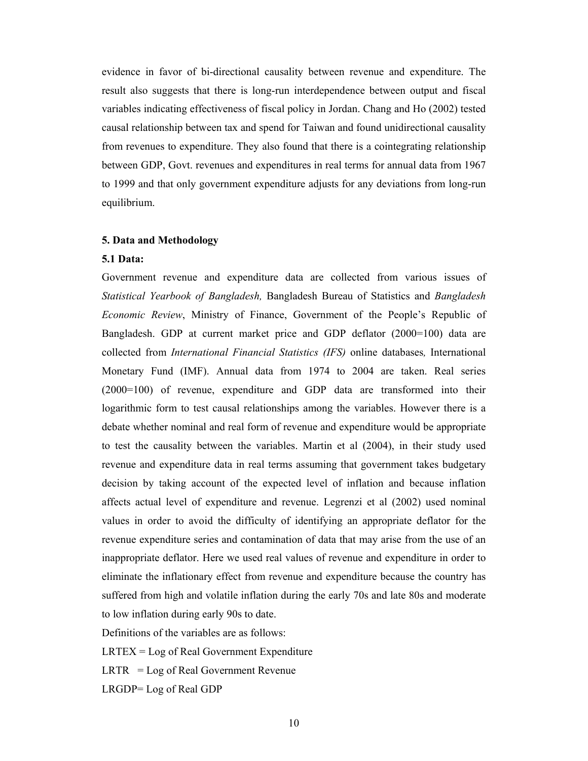evidence in favor of bi-directional causality between revenue and expenditure. The result also suggests that there is long-run interdependence between output and fiscal variables indicating effectiveness of fiscal policy in Jordan. Chang and Ho (2002) tested causal relationship between tax and spend for Taiwan and found unidirectional causality from revenues to expenditure. They also found that there is a cointegrating relationship between GDP, Govt. revenues and expenditures in real terms for annual data from 1967 to 1999 and that only government expenditure adjusts for any deviations from long-run equilibrium.

#### **5. Data and Methodology**

#### **5.1 Data:**

Government revenue and expenditure data are collected from various issues of *Statistical Yearbook of Bangladesh,* Bangladesh Bureau of Statistics and *Bangladesh Economic Review*, Ministry of Finance, Government of the People's Republic of Bangladesh. GDP at current market price and GDP deflator (2000=100) data are collected from *International Financial Statistics (IFS)* online databases*,* International Monetary Fund (IMF). Annual data from 1974 to 2004 are taken. Real series (2000=100) of revenue, expenditure and GDP data are transformed into their logarithmic form to test causal relationships among the variables. However there is a debate whether nominal and real form of revenue and expenditure would be appropriate to test the causality between the variables. Martin et al (2004), in their study used revenue and expenditure data in real terms assuming that government takes budgetary decision by taking account of the expected level of inflation and because inflation affects actual level of expenditure and revenue. Legrenzi et al (2002) used nominal values in order to avoid the difficulty of identifying an appropriate deflator for the revenue expenditure series and contamination of data that may arise from the use of an inappropriate deflator. Here we used real values of revenue and expenditure in order to eliminate the inflationary effect from revenue and expenditure because the country has suffered from high and volatile inflation during the early 70s and late 80s and moderate to low inflation during early 90s to date.

Definitions of the variables are as follows:

 $LRTEX = Log of Real Government Expenditure$ 

 $LRTR = Log of Real Government Revenue$ 

LRGDP= Log of Real GDP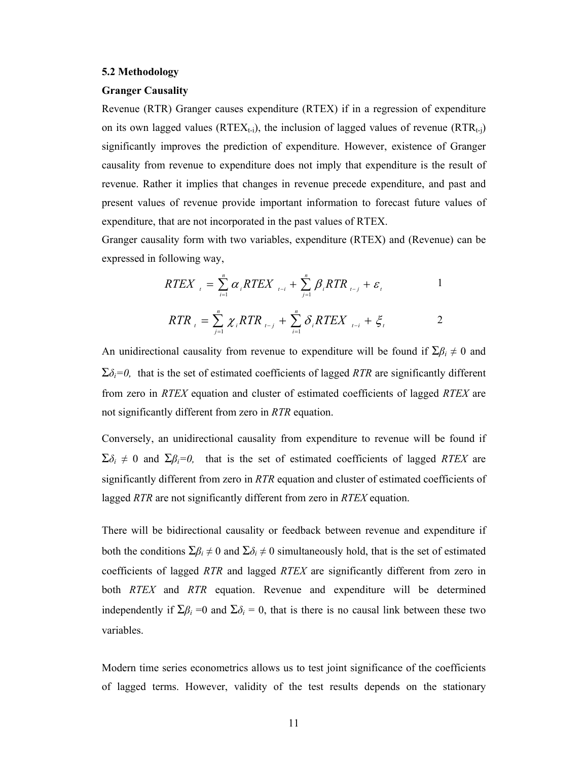#### **5.2 Methodology**

#### **Granger Causality**

Revenue (RTR) Granger causes expenditure (RTEX) if in a regression of expenditure on its own lagged values ( $RTEX_{t-1}$ ), the inclusion of lagged values of revenue  $(RTR_{t-1})$ significantly improves the prediction of expenditure. However, existence of Granger causality from revenue to expenditure does not imply that expenditure is the result of revenue. Rather it implies that changes in revenue precede expenditure, and past and present values of revenue provide important information to forecast future values of expenditure, that are not incorporated in the past values of RTEX.

Granger causality form with two variables, expenditure (RTEX) and (Revenue) can be expressed in following way,

$$
RTEX_{t} = \sum_{i=1}^{n} \alpha_{i}RTEX_{t-i} + \sum_{j=1}^{n} \beta_{i}RTR_{t-j} + \varepsilon_{t}
$$

$$
RTR_{i} = \sum_{j=1}^{n} \chi_{i} RTR_{i-j} + \sum_{i=1}^{n} \delta_{i} RTEX_{i-i} + \xi_{i}
$$

An unidirectional causality from revenue to expenditure will be found if  $\Sigma \beta_i \neq 0$  and  $\Sigma \delta_i = 0$ , that is the set of estimated coefficients of lagged *RTR* are significantly different from zero in *RTEX* equation and cluster of estimated coefficients of lagged *RTEX* are not significantly different from zero in *RTR* equation.

Conversely, an unidirectional causality from expenditure to revenue will be found if  $\Sigma \delta_i \neq 0$  and  $\Sigma \beta_i = 0$ , that is the set of estimated coefficients of lagged *RTEX* are significantly different from zero in *RTR* equation and cluster of estimated coefficients of lagged *RTR* are not significantly different from zero in *RTEX* equation.

There will be bidirectional causality or feedback between revenue and expenditure if both the conditions  $\Sigma \beta_i \neq 0$  and  $\Sigma \delta_i \neq 0$  simultaneously hold, that is the set of estimated coefficients of lagged *RTR* and lagged *RTEX* are significantly different from zero in both *RTEX* and *RTR* equation. Revenue and expenditure will be determined independently if  $\Sigma \beta_i = 0$  and  $\Sigma \delta_i = 0$ , that is there is no causal link between these two variables.

Modern time series econometrics allows us to test joint significance of the coefficients of lagged terms. However, validity of the test results depends on the stationary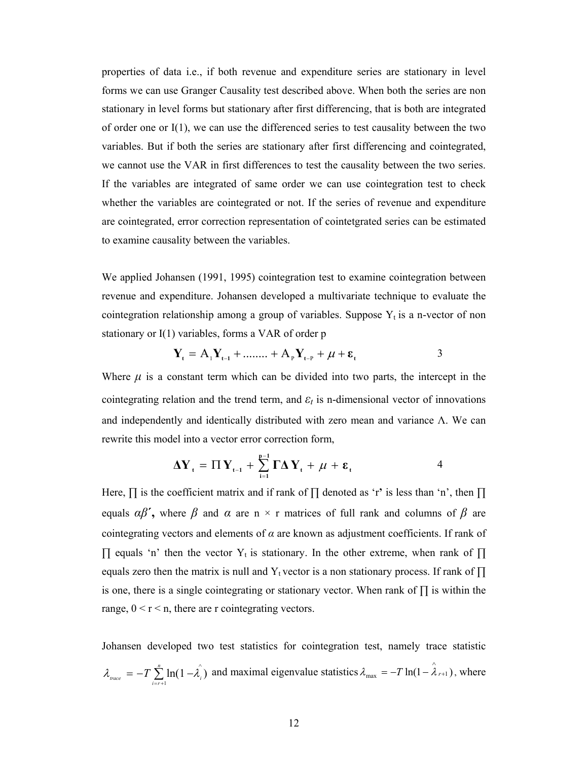properties of data i.e., if both revenue and expenditure series are stationary in level forms we can use Granger Causality test described above. When both the series are non stationary in level forms but stationary after first differencing, that is both are integrated of order one or  $I(1)$ , we can use the differenced series to test causality between the two variables. But if both the series are stationary after first differencing and cointegrated, we cannot use the VAR in first differences to test the causality between the two series. If the variables are integrated of same order we can use cointegration test to check whether the variables are cointegrated or not. If the series of revenue and expenditure are cointegrated, error correction representation of cointetgrated series can be estimated to examine causality between the variables.

We applied Johansen (1991, 1995) cointegration test to examine cointegration between revenue and expenditure. Johansen developed a multivariate technique to evaluate the cointegration relationship among a group of variables. Suppose  $Y_t$  is a n-vector of non stationary or I(1) variables, forms a VAR of order p

$$
Y_{t} = A_{1}Y_{t-1} + \dots + A_{p}Y_{t-p} + \mu + \varepsilon_{t}
$$
 3

Where  $\mu$  is a constant term which can be divided into two parts, the intercept in the cointegrating relation and the trend term, and  $\varepsilon_t$  is n-dimensional vector of innovations and independently and identically distributed with zero mean and variance  $\Lambda$ . We can rewrite this model into a vector error correction form,

$$
\Delta Y_{t} = \Pi Y_{t-1} + \sum_{i=1}^{p-1} \Gamma \Delta Y_{t} + \mu + \varepsilon_{t}
$$

Here, ∏ is the coefficient matrix and if rank of ∏ denoted as 'r**'** is less than 'n', then ∏ equals  $\alpha\beta'$ , where  $\beta$  and  $\alpha$  are n × r matrices of full rank and columns of  $\beta$  are cointegrating vectors and elements of *α* are known as adjustment coefficients. If rank of  $\prod$  equals 'n' then the vector Y<sub>t</sub> is stationary. In the other extreme, when rank of  $\prod$ equals zero then the matrix is null and Y<sub>t</sub> vector is a non stationary process. If rank of  $\prod$ is one, there is a single cointegrating or stationary vector. When rank of ∏ is within the range,  $0 < r < n$ , there are r cointegrating vectors.

Johansen developed two test statistics for cointegration test, namely trace statistic  $\lambda_{\text{trace}} = -T \sum_{i=r+1}^{n} \ln(1 - \hat{\lambda_i})$  and maximal eigenvalue statistics  $\lambda_{\text{max}} = -T \ln(1 - \hat{\lambda}_{r+1})$ , where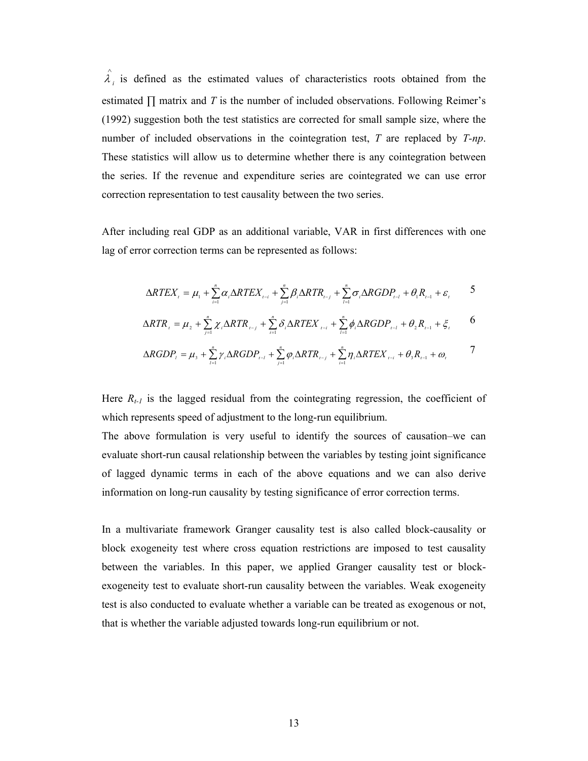$\hat{\lambda}_i$  is defined as the estimated values of characteristics roots obtained from the estimated  $\Pi$  matrix and *T* is the number of included observations. Following Reimer's (1992) suggestion both the test statistics are corrected for small sample size, where the number of included observations in the cointegration test, *T* are replaced by *T-np*. These statistics will allow us to determine whether there is any cointegration between the series. If the revenue and expenditure series are cointegrated we can use error correction representation to test causality between the two series.

After including real GDP as an additional variable, VAR in first differences with one lag of error correction terms can be represented as follows:

$$
\Delta RTEX_{i} = \mu_{1} + \sum_{i=1}^{n} \alpha_{i} \Delta RTEX_{i-i} + \sum_{j=1}^{n} \beta_{i} \Delta RTR_{i-j} + \sum_{l=1}^{n} \sigma_{i} \Delta RGBP_{i-l} + \theta_{1}R_{i-1} + \varepsilon_{i} \qquad 5
$$

$$
\Delta RTR_{t} = \mu_{2} + \sum_{j=1}^{n} \chi_{i} \Delta RTR_{t-j} + \sum_{i=1}^{n} \delta_{i} \Delta RTEX_{t-i} + \sum_{i=1}^{n} \phi_{i} \Delta RGDP_{t-i} + \theta_{2} R_{t-1} + \xi_{t}
$$
 6

$$
\Delta RGDP_{i} = \mu_{s} + \sum_{i=1}^{n} \gamma_{i} \Delta RGDP_{i-1} + \sum_{j=1}^{n} \varphi_{i} \Delta RTR_{i-j} + \sum_{i=1}^{n} \eta_{i} \Delta RTEX_{i-i} + \theta_{s} R_{i-1} + \omega_{i}
$$

Here  $R_{t-1}$  is the lagged residual from the cointegrating regression, the coefficient of which represents speed of adjustment to the long-run equilibrium.

The above formulation is very useful to identify the sources of causation–we can evaluate short-run causal relationship between the variables by testing joint significance of lagged dynamic terms in each of the above equations and we can also derive information on long-run causality by testing significance of error correction terms.

In a multivariate framework Granger causality test is also called block-causality or block exogeneity test where cross equation restrictions are imposed to test causality between the variables. In this paper, we applied Granger causality test or blockexogeneity test to evaluate short-run causality between the variables. Weak exogeneity test is also conducted to evaluate whether a variable can be treated as exogenous or not, that is whether the variable adjusted towards long-run equilibrium or not.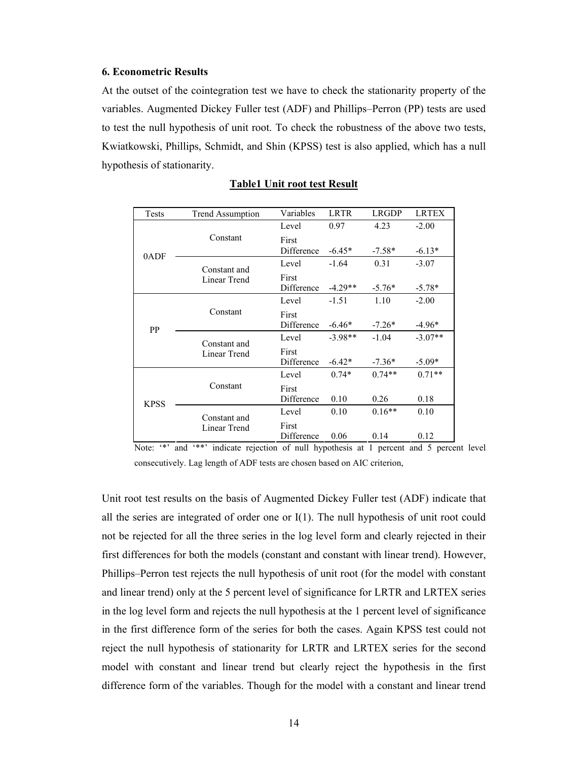#### **6. Econometric Results**

At the outset of the cointegration test we have to check the stationarity property of the variables. Augmented Dickey Fuller test (ADF) and Phillips–Perron (PP) tests are used to test the null hypothesis of unit root. To check the robustness of the above two tests, Kwiatkowski, Phillips, Schmidt, and Shin (KPSS) test is also applied, which has a null hypothesis of stationarity.

| Tests       | <b>Trend Assumption</b>      | Variables           | <b>LRTR</b> | <b>LRGDP</b> | <b>LRTEX</b> |
|-------------|------------------------------|---------------------|-------------|--------------|--------------|
| 0ADF        |                              | Level               | 0.97        | 4.23         | $-2.00$      |
|             | Constant                     | First<br>Difference | $-6.45*$    | $-7.58*$     | $-6.13*$     |
|             |                              | Level               | $-1.64$     | 0.31         | $-3.07$      |
|             | Constant and<br>Linear Trend | First<br>Difference | $-4.29**$   | $-5.76*$     | $-5.78*$     |
| PP          |                              | Level               | $-1.51$     | 1.10         | $-2.00$      |
|             | Constant                     | First<br>Difference | $-6.46*$    | $-7.26*$     | $-4.96*$     |
|             | Constant and<br>Linear Trend | Level               | $-3.98**$   | $-1.04$      | $-3.07**$    |
|             |                              | First<br>Difference | $-6.42*$    | $-7.36*$     | $-5.09*$     |
| <b>KPSS</b> |                              | Level               | $0.74*$     | $0.74**$     | $0.71**$     |
|             | Constant                     | First<br>Difference | 0.10        | 0.26         | 0.18         |
|             | Constant and<br>Linear Trend | Level               | 0.10        | $0.16**$     | 0.10         |
|             |                              | First<br>Difference | 0.06        | 0.14         | 0.12         |

#### **Table1 Unit root test Result**

Note: '\*' and '\*\*' indicate rejection of null hypothesis at 1 percent and 5 percent level consecutively. Lag length of ADF tests are chosen based on AIC criterion,

Unit root test results on the basis of Augmented Dickey Fuller test (ADF) indicate that all the series are integrated of order one or I(1). The null hypothesis of unit root could not be rejected for all the three series in the log level form and clearly rejected in their first differences for both the models (constant and constant with linear trend). However, Phillips–Perron test rejects the null hypothesis of unit root (for the model with constant and linear trend) only at the 5 percent level of significance for LRTR and LRTEX series in the log level form and rejects the null hypothesis at the 1 percent level of significance in the first difference form of the series for both the cases. Again KPSS test could not reject the null hypothesis of stationarity for LRTR and LRTEX series for the second model with constant and linear trend but clearly reject the hypothesis in the first difference form of the variables. Though for the model with a constant and linear trend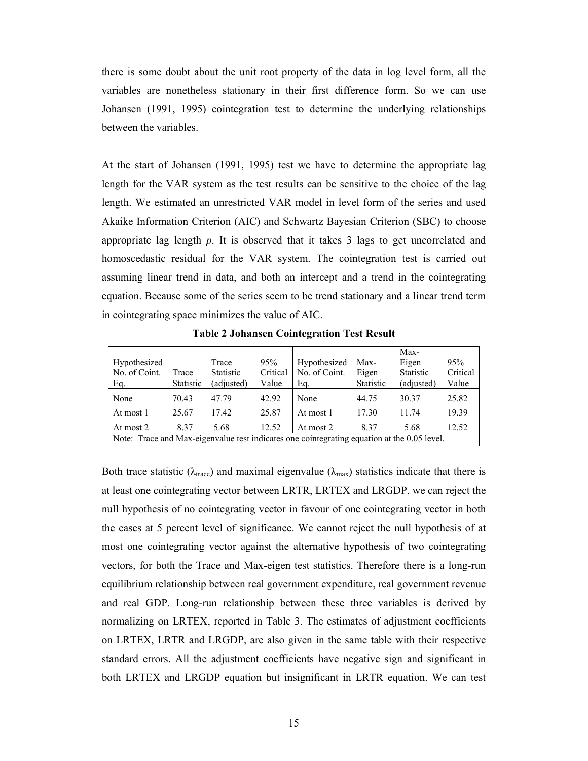there is some doubt about the unit root property of the data in log level form, all the variables are nonetheless stationary in their first difference form. So we can use Johansen (1991, 1995) cointegration test to determine the underlying relationships between the variables.

At the start of Johansen (1991, 1995) test we have to determine the appropriate lag length for the VAR system as the test results can be sensitive to the choice of the lag length. We estimated an unrestricted VAR model in level form of the series and used Akaike Information Criterion (AIC) and Schwartz Bayesian Criterion (SBC) to choose appropriate lag length *p*. It is observed that it takes 3 lags to get uncorrelated and homoscedastic residual for the VAR system. The cointegration test is carried out assuming linear trend in data, and both an intercept and a trend in the cointegrating equation. Because some of the series seem to be trend stationary and a linear trend term in cointegrating space minimizes the value of AIC.

| Hypothesized<br>No. of Coint.<br>Eq.                                                        | Trace<br><b>Statistic</b> | Trace<br><b>Statistic</b><br>(adjusted) | 95%<br>Critical<br>Value | Hypothesized<br>No. of Coint.<br>Eq. | Max-<br>Eigen<br><b>Statistic</b> | Max-<br>Eigen<br><b>Statistic</b><br>(adjusted) | 95%<br>Critical<br>Value |  |
|---------------------------------------------------------------------------------------------|---------------------------|-----------------------------------------|--------------------------|--------------------------------------|-----------------------------------|-------------------------------------------------|--------------------------|--|
| None                                                                                        | 70.43                     | 47.79                                   | 42.92                    | None                                 | 44.75                             | 30.37                                           | 25.82                    |  |
| At most 1                                                                                   | 25.67                     | 17.42                                   | 25.87                    | At most 1                            | 17.30                             | 11.74                                           | 19.39                    |  |
| At most 2                                                                                   | 8.37                      | 5.68                                    | 12.52                    | At most 2                            | 8.37                              | 5.68                                            | 12.52                    |  |
| Note: Trace and Max-eigenvalue test indicates one cointegrating equation at the 0.05 level. |                           |                                         |                          |                                      |                                   |                                                 |                          |  |

**Table 2 Johansen Cointegration Test Result**

Both trace statistic ( $\lambda_{\text{trace}}$ ) and maximal eigenvalue ( $\lambda_{\text{max}}$ ) statistics indicate that there is at least one cointegrating vector between LRTR, LRTEX and LRGDP, we can reject the null hypothesis of no cointegrating vector in favour of one cointegrating vector in both the cases at 5 percent level of significance. We cannot reject the null hypothesis of at most one cointegrating vector against the alternative hypothesis of two cointegrating vectors, for both the Trace and Max-eigen test statistics. Therefore there is a long-run equilibrium relationship between real government expenditure, real government revenue and real GDP. Long-run relationship between these three variables is derived by normalizing on LRTEX, reported in Table 3. The estimates of adjustment coefficients on LRTEX, LRTR and LRGDP, are also given in the same table with their respective standard errors. All the adjustment coefficients have negative sign and significant in both LRTEX and LRGDP equation but insignificant in LRTR equation. We can test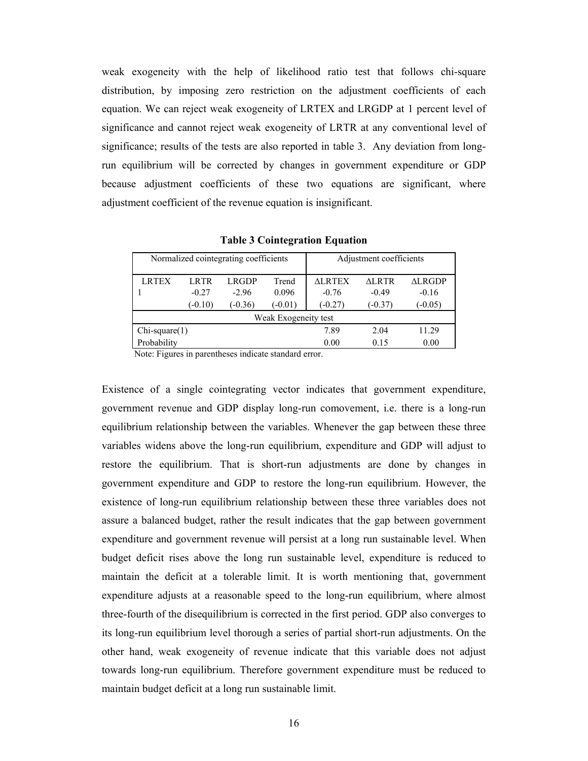weak exogeneity with the help of likelihood ratio test that follows chi-square distribution, by imposing zero restriction on the adjustment coefficients of each equation. We can reject weak exogeneity of LRTEX and LRGDP at 1 percent level of significance and cannot reject weak exogeneity of LRTR at any conventional level of significance; results of the tests are also reported in table 3. Any deviation from longrun equilibrium will be corrected by changes in government expenditure or GDP because adjustment coefficients of these two equations are significant, where adjustment coefficient of the revenue equation is insignificant.

| Normalized cointegrating coefficients |             |           |           | Adjustment coefficients |           |               |  |  |
|---------------------------------------|-------------|-----------|-----------|-------------------------|-----------|---------------|--|--|
| <b>LRTEX</b>                          | <b>LRTR</b> | LRGDP     | Trend     | <b>ALRTEX</b>           | ALRTR     | <b>ALRGDP</b> |  |  |
|                                       | $-0.27$     | $-2.96$   | 0.096     | $-0.76$                 | $-0.49$   | $-0.16$       |  |  |
|                                       | $(-0.10)$   | $(-0.36)$ | $(-0.01)$ | $-0.27$                 | $(-0.37)$ | $(-0.05)$     |  |  |
| Weak Exogeneity test                  |             |           |           |                         |           |               |  |  |
| $Chi-square(1)$                       |             |           |           | 7.89                    | 2.04      | 11.29         |  |  |
| Probability                           |             |           |           | 0.00                    | 0.15      | 0.00          |  |  |

**Table 3 Cointegration Equation** 

Note: Figures in parentheses indicate standard error.

Existence of a single cointegrating vector indicates that government expenditure, government revenue and GDP display long-run comovement, i.e. there is a long-run equilibrium relationship between the variables. Whenever the gap between these three variables widens above the long-run equilibrium, expenditure and GDP will adjust to restore the equilibrium. That is short-run adjustments are done by changes in government expenditure and GDP to restore the long-run equilibrium. However, the existence of long-run equilibrium relationship between these three variables does not assure a balanced budget, rather the result indicates that the gap between government expenditure and government revenue will persist at a long run sustainable level. When budget deficit rises above the long run sustainable level, expenditure is reduced to maintain the deficit at a tolerable limit. It is worth mentioning that, government expenditure adjusts at a reasonable speed to the long-run equilibrium, where almost three-fourth of the disequilibrium is corrected in the first period. GDP also converges to its long-run equilibrium level thorough a series of partial short-run adjustments. On the other hand, weak exogeneity of revenue indicate that this variable does not adjust towards long-run equilibrium. Therefore government expenditure must be reduced to maintain budget deficit at a long run sustainable limit.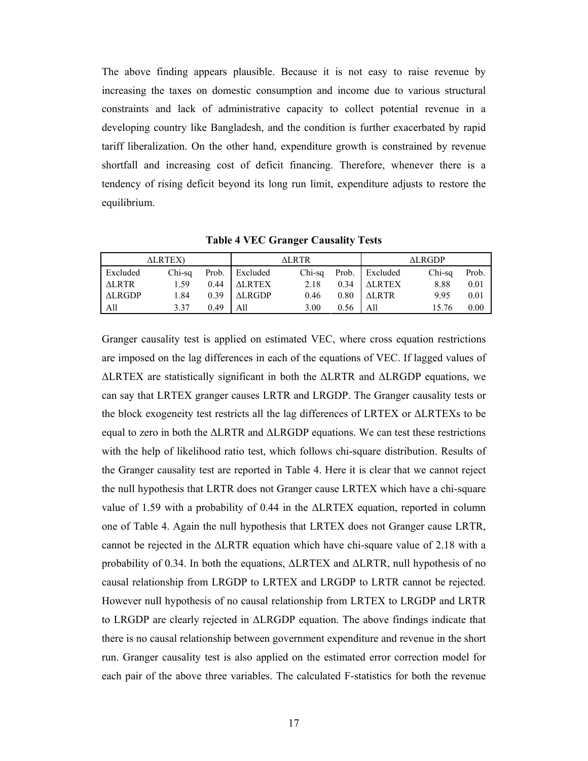The above finding appears plausible. Because it is not easy to raise revenue by increasing the taxes on domestic consumption and income due to various structural constraints and lack of administrative capacity to collect potential revenue in a developing country like Bangladesh, and the condition is further exacerbated by rapid tariff liberalization. On the other hand, expenditure growth is constrained by revenue shortfall and increasing cost of deficit financing. Therefore, whenever there is a tendency of rising deficit beyond its long run limit, expenditure adjusts to restore the equilibrium.

**Table 4 VEC Granger Causality Tests** 

| <b>ALRTEX</b> ) |        |      | ALRTR-         |        |      | ALRGDP         |        |       |
|-----------------|--------|------|----------------|--------|------|----------------|--------|-------|
| Excluded        | Chi-sa |      | Prob. Excluded | Chi-sa |      | Prob. Excluded | Chi-sa | Prob. |
| <b>ALRTR</b>    | 1.59   | 0.44 | <b>ALRTEX</b>  | 2.18   | 0.34 | <b>ALRTEX</b>  | 8.88   | 0.01  |
| <b>ALRGDP</b>   | 1.84   | 0.39 | <b>ALRGDP</b>  | 0.46   | 0.80 | <b>ALRTR</b>   | 9.95   | 0.01  |
| All             | 337    | 0.49 | All            | 3.00   | 0.56 | All            |        | 0.00  |

Granger causality test is applied on estimated VEC, where cross equation restrictions are imposed on the lag differences in each of the equations of VEC. If lagged values of ∆LRTEX are statistically significant in both the ∆LRTR and ∆LRGDP equations, we can say that LRTEX granger causes LRTR and LRGDP. The Granger causality tests or the block exogeneity test restricts all the lag differences of LRTEX or ∆LRTEXs to be equal to zero in both the ∆LRTR and ∆LRGDP equations. We can test these restrictions with the help of likelihood ratio test, which follows chi-square distribution. Results of the Granger causality test are reported in Table 4. Here it is clear that we cannot reject the null hypothesis that LRTR does not Granger cause LRTEX which have a chi-square value of 1.59 with a probability of 0.44 in the ∆LRTEX equation, reported in column one of Table 4. Again the null hypothesis that LRTEX does not Granger cause LRTR, cannot be rejected in the ∆LRTR equation which have chi-square value of 2.18 with a probability of 0.34. In both the equations, ∆LRTEX and ∆LRTR, null hypothesis of no causal relationship from LRGDP to LRTEX and LRGDP to LRTR cannot be rejected. However null hypothesis of no causal relationship from LRTEX to LRGDP and LRTR to LRGDP are clearly rejected in ∆LRGDP equation. The above findings indicate that there is no causal relationship between government expenditure and revenue in the short run. Granger causality test is also applied on the estimated error correction model for each pair of the above three variables. The calculated F-statistics for both the revenue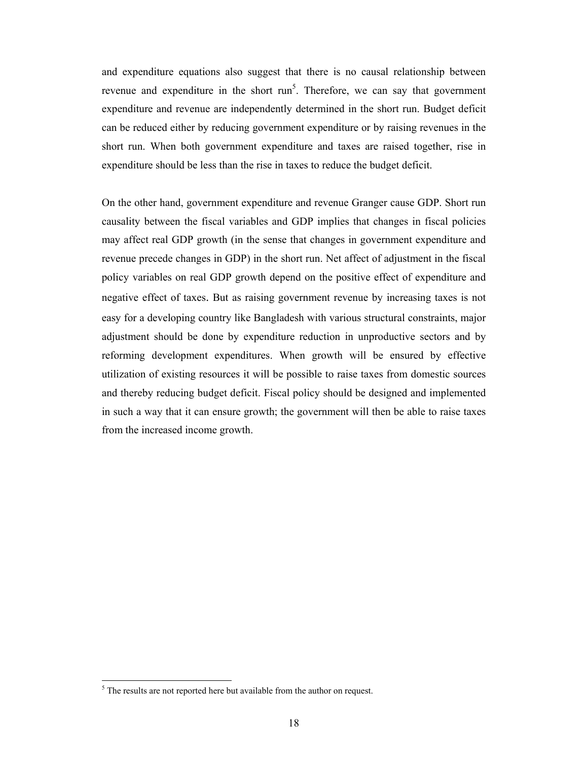and expenditure equations also suggest that there is no causal relationship between revenue and expenditure in the short  $run<sup>5</sup>$ . Therefore, we can say that government expenditure and revenue are independently determined in the short run. Budget deficit can be reduced either by reducing government expenditure or by raising revenues in the short run. When both government expenditure and taxes are raised together, rise in expenditure should be less than the rise in taxes to reduce the budget deficit.

On the other hand, government expenditure and revenue Granger cause GDP. Short run causality between the fiscal variables and GDP implies that changes in fiscal policies may affect real GDP growth (in the sense that changes in government expenditure and revenue precede changes in GDP) in the short run. Net affect of adjustment in the fiscal policy variables on real GDP growth depend on the positive effect of expenditure and negative effect of taxes. But as raising government revenue by increasing taxes is not easy for a developing country like Bangladesh with various structural constraints, major adjustment should be done by expenditure reduction in unproductive sectors and by reforming development expenditures. When growth will be ensured by effective utilization of existing resources it will be possible to raise taxes from domestic sources and thereby reducing budget deficit. Fiscal policy should be designed and implemented in such a way that it can ensure growth; the government will then be able to raise taxes from the increased income growth.

<sup>&</sup>lt;sup>5</sup> The results are not reported here but available from the author on request.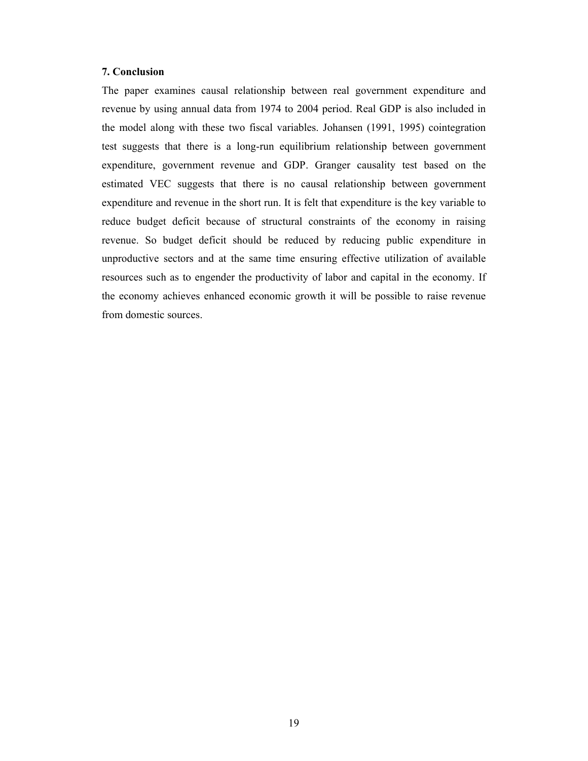#### **7. Conclusion**

The paper examines causal relationship between real government expenditure and revenue by using annual data from 1974 to 2004 period. Real GDP is also included in the model along with these two fiscal variables. Johansen (1991, 1995) cointegration test suggests that there is a long-run equilibrium relationship between government expenditure, government revenue and GDP. Granger causality test based on the estimated VEC suggests that there is no causal relationship between government expenditure and revenue in the short run. It is felt that expenditure is the key variable to reduce budget deficit because of structural constraints of the economy in raising revenue. So budget deficit should be reduced by reducing public expenditure in unproductive sectors and at the same time ensuring effective utilization of available resources such as to engender the productivity of labor and capital in the economy. If the economy achieves enhanced economic growth it will be possible to raise revenue from domestic sources.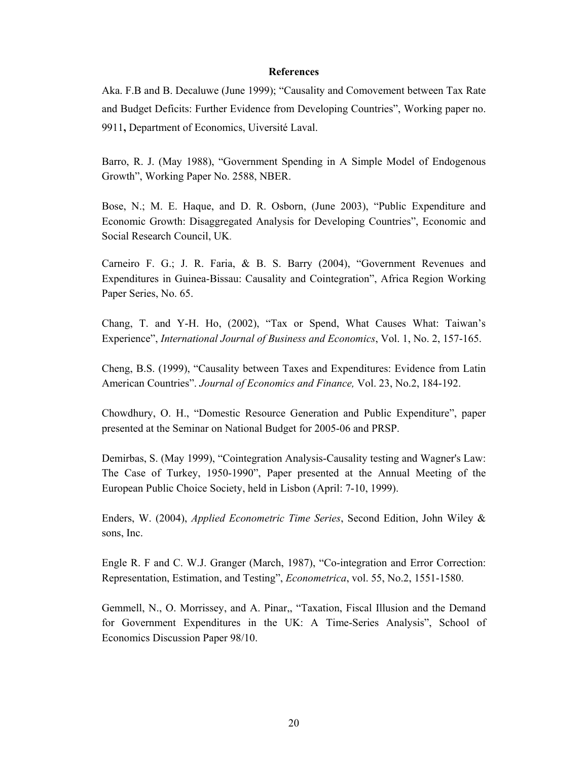#### **References**

Aka. F.B and B. Decaluwe (June 1999); "Causality and Comovement between Tax Rate and Budget Deficits: Further Evidence from Developing Countries", Working paper no. 9911**,** Department of Economics, Uiversité Laval.

Barro, R. J. (May 1988), "Government Spending in A Simple Model of Endogenous Growth", Working Paper No. 2588, NBER.

Bose, N.; M. E. Haque, and D. R. Osborn, (June 2003), "Public Expenditure and Economic Growth: Disaggregated Analysis for Developing Countries", Economic and Social Research Council, UK.

Carneiro F. G.; J. R. Faria, & B. S. Barry (2004), "Government Revenues and Expenditures in Guinea-Bissau: Causality and Cointegration", Africa Region Working Paper Series, No. 65.

Chang, T. and Y-H. Ho, (2002), "Tax or Spend, What Causes What: Taiwan's Experience", *International Journal of Business and Economics*, Vol. 1, No. 2, 157-165.

Cheng, B.S. (1999), "Causality between Taxes and Expenditures: Evidence from Latin American Countries". *Journal of Economics and Finance,* Vol. 23, No.2, 184-192.

Chowdhury, O. H., "Domestic Resource Generation and Public Expenditure", paper presented at the Seminar on National Budget for 2005-06 and PRSP.

Demirbas, S. (May 1999), "Cointegration Analysis-Causality testing and Wagner's Law: The Case of Turkey, 1950-1990", Paper presented at the Annual Meeting of the European Public Choice Society, held in Lisbon (April: 7-10, 1999).

Enders, W. (2004), *Applied Econometric Time Series*, Second Edition, John Wiley & sons, Inc.

Engle R. F and C. W.J. Granger (March, 1987), "Co-integration and Error Correction: Representation, Estimation, and Testing", *Econometrica*, vol. 55, No.2, 1551-1580.

Gemmell, N., O. Morrissey, and A. Pinar,, "Taxation, Fiscal Illusion and the Demand for Government Expenditures in the UK: A Time-Series Analysis", School of Economics Discussion Paper 98/10.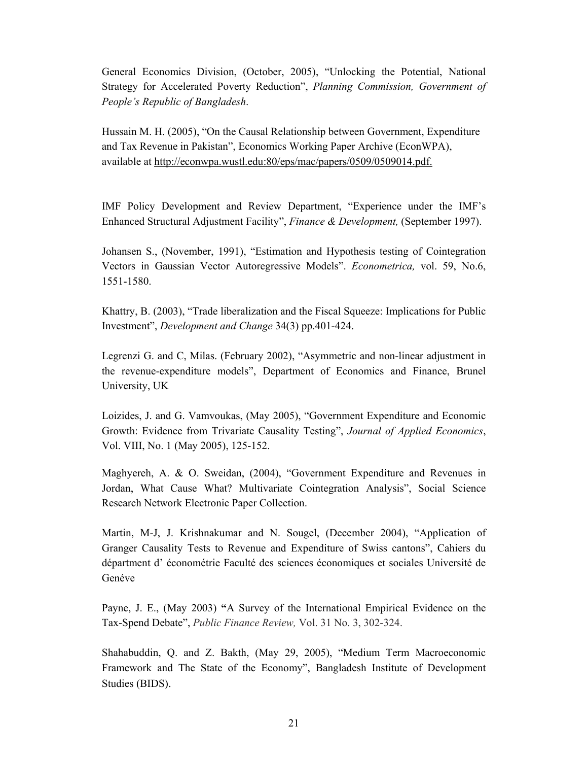General Economics Division, (October, 2005), "Unlocking the Potential, National Strategy for Accelerated Poverty Reduction", *Planning Commission, Government of People's Republic of Bangladesh*.

Hussain M. H. (2005), "On the Causal Relationship between Government, Expenditure and Tax Revenue in Pakistan", Economics Working Paper Archive (EconWPA), available at http://econwpa.wustl.edu:80/eps/mac/papers/0509/0509014.pdf.

IMF Policy Development and Review Department, "Experience under the IMF's Enhanced Structural Adjustment Facility", *Finance & Development,* (September 1997).

Johansen S., (November, 1991), "Estimation and Hypothesis testing of Cointegration Vectors in Gaussian Vector Autoregressive Models". *Econometrica,* vol. 59, No.6, 1551-1580.

Khattry, B. (2003), "Trade liberalization and the Fiscal Squeeze: Implications for Public Investment", *Development and Change* 34(3) pp.401-424.

Legrenzi G. and C, Milas. (February 2002), "Asymmetric and non-linear adjustment in the revenue-expenditure models", Department of Economics and Finance, Brunel University, UK

Loizides, J. and G. Vamvoukas, (May 2005), "Government Expenditure and Economic Growth: Evidence from Trivariate Causality Testing", *Journal of Applied Economics*, Vol. VIII, No. 1 (May 2005), 125-152.

Maghyereh, A. & O. Sweidan, (2004), "Government Expenditure and Revenues in Jordan, What Cause What? Multivariate Cointegration Analysis", Social Science Research Network Electronic Paper Collection.

Martin, M-J, J. Krishnakumar and N. Sougel, (December 2004), "Application of Granger Causality Tests to Revenue and Expenditure of Swiss cantons", Cahiers du départment d' économétrie Faculté des sciences économiques et sociales Université de Genéve

Payne, J. E., (May 2003) **"**A Survey of the International Empirical Evidence on the Tax-Spend Debate", *Public Finance Review,* Vol. 31 No. 3, 302-324.

Shahabuddin, Q. and Z. Bakth, (May 29, 2005), "Medium Term Macroeconomic Framework and The State of the Economy", Bangladesh Institute of Development Studies (BIDS).